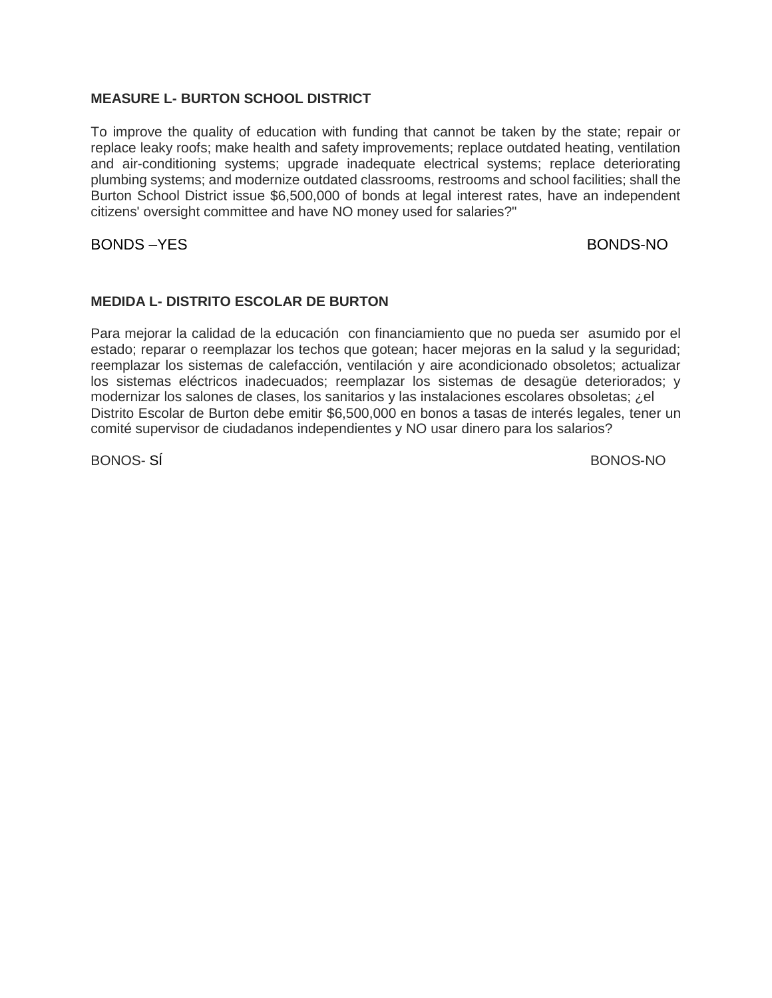# **MEASURE L- BURTON SCHOOL DISTRICT**

To improve the quality of education with funding that cannot be taken by the state; repair or replace leaky roofs; make health and safety improvements; replace outdated heating, ventilation and air-conditioning systems; upgrade inadequate electrical systems; replace deteriorating plumbing systems; and modernize outdated classrooms, restrooms and school facilities; shall the Burton School District issue \$6,500,000 of bonds at legal interest rates, have an independent citizens' oversight committee and have NO money used for salaries?"

BONDS –YES BONDS-NO

# **MEDIDA L- DISTRITO ESCOLAR DE BURTON**

Para mejorar la calidad de la educación con financiamiento que no pueda ser asumido por el estado; reparar o reemplazar los techos que gotean; hacer mejoras en la salud y la seguridad; reemplazar los sistemas de calefacción, ventilación y aire acondicionado obsoletos; actualizar los sistemas eléctricos inadecuados; reemplazar los sistemas de desagüe deteriorados; y modernizar los salones de clases, los sanitarios y las instalaciones escolares obsoletas; ¿el Distrito Escolar de Burton debe emitir \$6,500,000 en bonos a tasas de interés legales, tener un comité supervisor de ciudadanos independientes y NO usar dinero para los salarios?

BONOS- SÍ BONOS-NO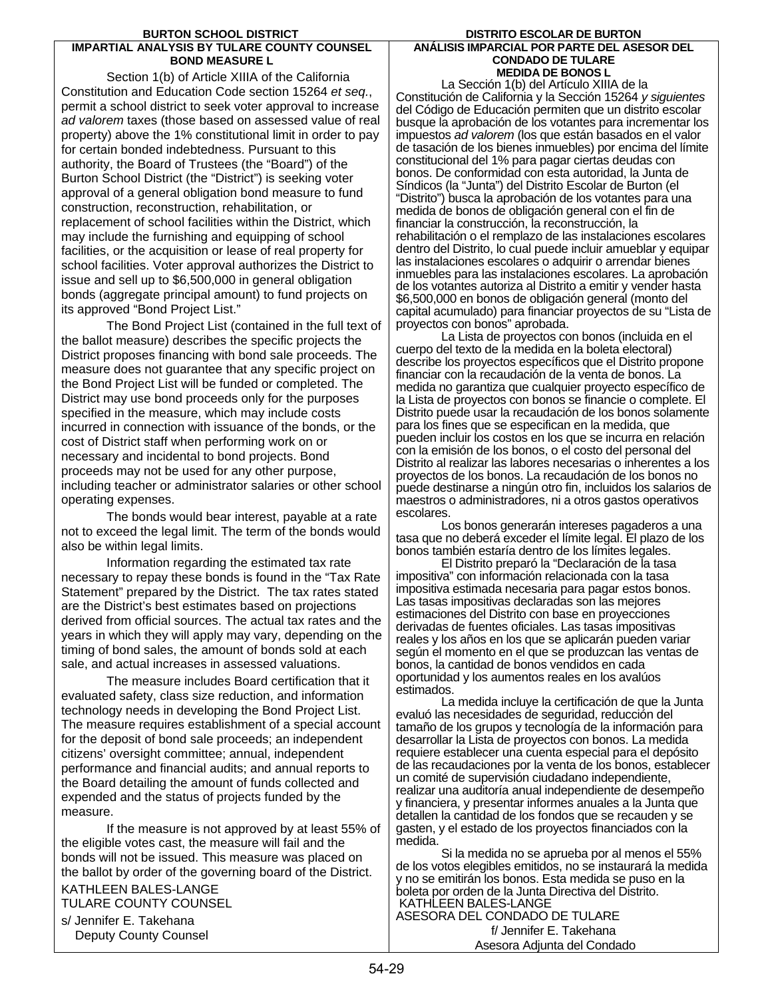#### **BURTON SCHOOL DISTRICT DISTRITO ESCOLAR DE BURTON**

#### **IMPARTIAL ANALYSIS BY TULARE COUNTY COUNSEL BOND MEASURE L**

Section 1(b) of Article XIIIA of the California Constitution and Education Code section 15264 *et seq.*, permit a school district to seek voter approval to increase *ad valorem* taxes (those based on assessed value of real property) above the 1% constitutional limit in order to pay for certain bonded indebtedness. Pursuant to this authority, the Board of Trustees (the "Board") of the Burton School District (the "District") is seeking voter approval of a general obligation bond measure to fund construction, reconstruction, rehabilitation, or replacement of school facilities within the District, which may include the furnishing and equipping of school facilities, or the acquisition or lease of real property for school facilities. Voter approval authorizes the District to issue and sell up to \$6,500,000 in general obligation bonds (aggregate principal amount) to fund projects on its approved "Bond Project List."

The Bond Project List (contained in the full text of the ballot measure) describes the specific projects the District proposes financing with bond sale proceeds. The measure does not guarantee that any specific project on the Bond Project List will be funded or completed. The District may use bond proceeds only for the purposes specified in the measure, which may include costs incurred in connection with issuance of the bonds, or the cost of District staff when performing work on or necessary and incidental to bond projects. Bond proceeds may not be used for any other purpose, including teacher or administrator salaries or other school operating expenses.

The bonds would bear interest, payable at a rate not to exceed the legal limit. The term of the bonds would also be within legal limits.

Information regarding the estimated tax rate necessary to repay these bonds is found in the "Tax Rate Statement" prepared by the District. The tax rates stated are the District's best estimates based on projections derived from official sources. The actual tax rates and the years in which they will apply may vary, depending on the timing of bond sales, the amount of bonds sold at each sale, and actual increases in assessed valuations.

The measure includes Board certification that it evaluated safety, class size reduction, and information technology needs in developing the Bond Project List. The measure requires establishment of a special account for the deposit of bond sale proceeds; an independent citizens' oversight committee; annual, independent performance and financial audits; and annual reports to the Board detailing the amount of funds collected and expended and the status of projects funded by the measure.

If the measure is not approved by at least 55% of the eligible votes cast, the measure will fail and the bonds will not be issued. This measure was placed on the ballot by order of the governing board of the District. KATHLEEN BALES-LANGE TULARE COUNTY COUNSEL

s/ Jennifer E. Takehana Deputy County Counsel

# **ANÁLISIS IMPARCIAL POR PARTE DEL ASESOR DEL CONDADO DE TULARE MEDIDA DE BONOS L**

La Sección 1(b) del Artículo XIIIA de la Constitución de California y la Sección 15264 *y siguientes* del Código de Educación permiten que un distrito escolar busque la aprobación de los votantes para incrementar los impuestos *ad valorem* (los que están basados en el valor de tasación de los bienes inmuebles) por encima del límite constitucional del 1% para pagar ciertas deudas con bonos. De conformidad con esta autoridad, la Junta de Síndicos (la "Junta") del Distrito Escolar de Burton (el "Distrito") busca la aprobación de los votantes para una medida de bonos de obligación general con el fin de financiar la construcción, la reconstrucción, la rehabilitación o el remplazo de las instalaciones escolares dentro del Distrito, lo cual puede incluir amueblar y equipar las instalaciones escolares o adquirir o arrendar bienes inmuebles para las instalaciones escolares. La aprobación de los votantes autoriza al Distrito a emitir y vender hasta \$6,500,000 en bonos de obligación general (monto del capital acumulado) para financiar proyectos de su "Lista de proyectos con bonos" aprobada.

La Lista de proyectos con bonos (incluida en el cuerpo del texto de la medida en la boleta electoral) describe los proyectos específicos que el Distrito propone financiar con la recaudación de la venta de bonos. La medida no garantiza que cualquier proyecto específico de la Lista de proyectos con bonos se financie o complete. El Distrito puede usar la recaudación de los bonos solamente para los fines que se especifican en la medida, que pueden incluir los costos en los que se incurra en relación con la emisión de los bonos, o el costo del personal del Distrito al realizar las labores necesarias o inherentes a los proyectos de los bonos. La recaudación de los bonos no puede destinarse a ningún otro fin, incluidos los salarios de maestros o administradores, ni a otros gastos operativos escolares.

Los bonos generarán intereses pagaderos a una tasa que no deberá exceder el límite legal. El plazo de los bonos también estaría dentro de los límites legales.

El Distrito preparó la "Declaración de la tasa impositiva" con información relacionada con la tasa impositiva estimada necesaria para pagar estos bonos. Las tasas impositivas declaradas son las mejores estimaciones del Distrito con base en proyecciones derivadas de fuentes oficiales. Las tasas impositivas reales y los años en los que se aplicarán pueden variar según el momento en el que se produzcan las ventas de bonos, la cantidad de bonos vendidos en cada oportunidad y los aumentos reales en los avalúos estimados.

La medida incluye la certificación de que la Junta evaluó las necesidades de seguridad, reducción del tamaño de los grupos y tecnología de la información para desarrollar la Lista de proyectos con bonos. La medida requiere establecer una cuenta especial para el depósito de las recaudaciones por la venta de los bonos, establecer un comité de supervisión ciudadano independiente, realizar una auditoría anual independiente de desempeño y financiera, y presentar informes anuales a la Junta que detallen la cantidad de los fondos que se recauden y se gasten, y el estado de los proyectos financiados con la medida.

Si la medida no se aprueba por al menos el 55% de los votos elegibles emitidos, no se instaurará la medida y no se emitirán los bonos. Esta medida se puso en la boleta por orden de la Junta Directiva del Distrito. KATHLEEN BALES-LANGE ASESORA DEL CONDADO DE TULARE

> f/ Jennifer E. Takehana Asesora Adjunta del Condado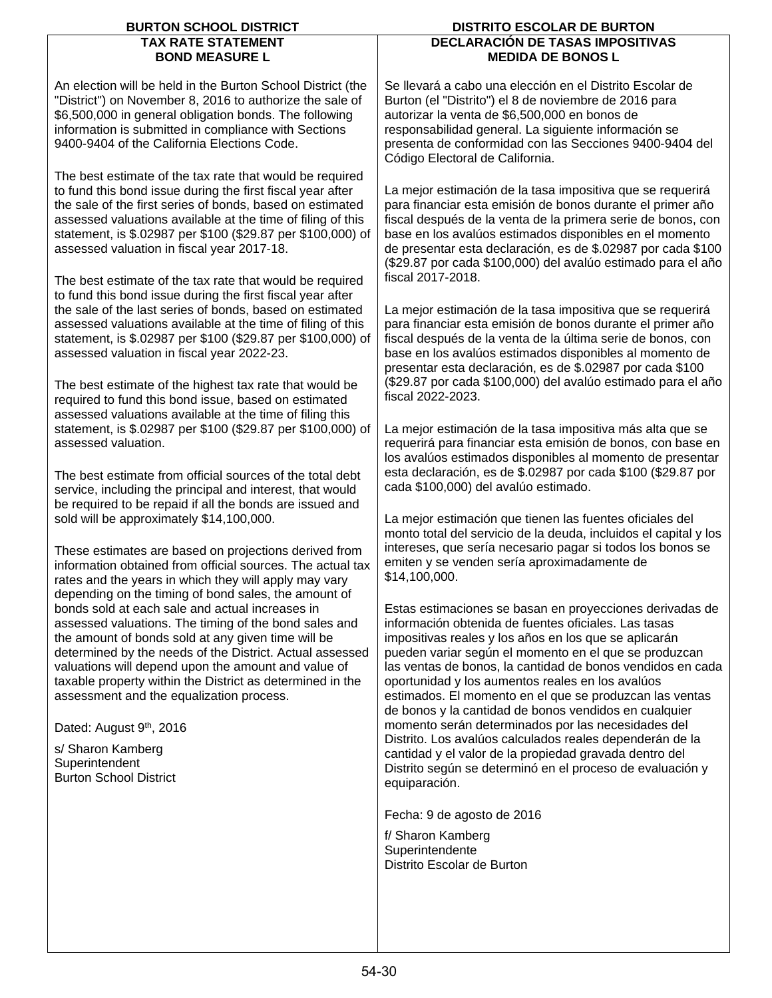# **TAX RATE STATEMENT BOND MEASURE L**

An election will be held in the Burton School District (the "District") on November 8, 2016 to authorize the sale of \$6,500,000 in general obligation bonds. The following information is submitted in compliance with Sections 9400-9404 of the California Elections Code.

The best estimate of the tax rate that would be required to fund this bond issue during the first fiscal year after the sale of the first series of bonds, based on estimated assessed valuations available at the time of filing of this statement, is \$.02987 per \$100 (\$29.87 per \$100,000) of assessed valuation in fiscal year 2017-18.

The best estimate of the tax rate that would be required to fund this bond issue during the first fiscal year after the sale of the last series of bonds, based on estimated assessed valuations available at the time of filing of this statement, is \$.02987 per \$100 (\$29.87 per \$100,000) of assessed valuation in fiscal year 2022-23.

The best estimate of the highest tax rate that would be required to fund this bond issue, based on estimated assessed valuations available at the time of filing this statement, is \$.02987 per \$100 (\$29.87 per \$100,000) of assessed valuation.

The best estimate from official sources of the total debt service, including the principal and interest, that would be required to be repaid if all the bonds are issued and sold will be approximately \$14,100,000.

These estimates are based on projections derived from information obtained from official sources. The actual tax rates and the years in which they will apply may vary depending on the timing of bond sales, the amount of bonds sold at each sale and actual increases in assessed valuations. The timing of the bond sales and the amount of bonds sold at any given time will be determined by the needs of the District. Actual assessed valuations will depend upon the amount and value of taxable property within the District as determined in the assessment and the equalization process.

Dated: August 9<sup>th</sup>, 2016

s/ Sharon Kamberg **Superintendent** Burton School District

# **BURTON SCHOOL DISTRICT DISTRITO ESCOLAR DE BURTON DECLARACIÓN DE TASAS IMPOSITIVAS MEDIDA DE BONOS L**

Se llevará a cabo una elección en el Distrito Escolar de Burton (el "Distrito") el 8 de noviembre de 2016 para autorizar la venta de \$6,500,000 en bonos de responsabilidad general. La siguiente información se presenta de conformidad con las Secciones 9400-9404 del Código Electoral de California.

La mejor estimación de la tasa impositiva que se requerirá para financiar esta emisión de bonos durante el primer año fiscal después de la venta de la primera serie de bonos, con base en los avalúos estimados disponibles en el momento de presentar esta declaración, es de \$.02987 por cada \$100 (\$29.87 por cada \$100,000) del avalúo estimado para el año fiscal 2017-2018.

La mejor estimación de la tasa impositiva que se requerirá para financiar esta emisión de bonos durante el primer año fiscal después de la venta de la última serie de bonos, con base en los avalúos estimados disponibles al momento de presentar esta declaración, es de \$.02987 por cada \$100 (\$29.87 por cada \$100,000) del avalúo estimado para el año fiscal 2022-2023.

La mejor estimación de la tasa impositiva más alta que se requerirá para financiar esta emisión de bonos, con base en los avalúos estimados disponibles al momento de presentar esta declaración, es de \$.02987 por cada \$100 (\$29.87 por cada \$100,000) del avalúo estimado.

La mejor estimación que tienen las fuentes oficiales del monto total del servicio de la deuda, incluidos el capital y los intereses, que sería necesario pagar si todos los bonos se emiten y se venden sería aproximadamente de \$14,100,000.

Estas estimaciones se basan en proyecciones derivadas de información obtenida de fuentes oficiales. Las tasas impositivas reales y los años en los que se aplicarán pueden variar según el momento en el que se produzcan las ventas de bonos, la cantidad de bonos vendidos en cada oportunidad y los aumentos reales en los avalúos estimados. El momento en el que se produzcan las ventas de bonos y la cantidad de bonos vendidos en cualquier momento serán determinados por las necesidades del Distrito. Los avalúos calculados reales dependerán de la cantidad y el valor de la propiedad gravada dentro del Distrito según se determinó en el proceso de evaluación y equiparación.

Fecha: 9 de agosto de 2016

f/ Sharon Kamberg Superintendente Distrito Escolar de Burton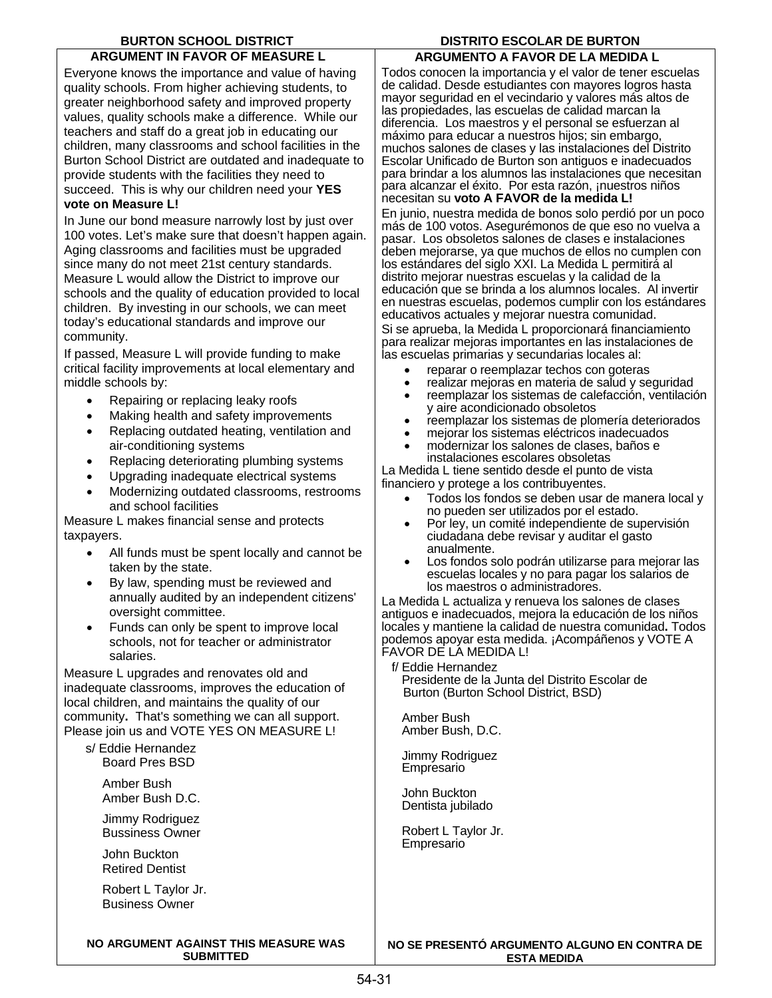# **ARGUMENT IN FAVOR OF MEASURE L**

Everyone knows the importance and value of having quality schools. From higher achieving students, to greater neighborhood safety and improved property values, quality schools make a difference. While our teachers and staff do a great job in educating our children, many classrooms and school facilities in the Burton School District are outdated and inadequate to provide students with the facilities they need to succeed. This is why our children need your **YES vote on Measure L!**

In June our bond measure narrowly lost by just over 100 votes. Let's make sure that doesn't happen again. Aging classrooms and facilities must be upgraded since many do not meet 21st century standards. Measure L would allow the District to improve our schools and the quality of education provided to local children. By investing in our schools, we can meet today's educational standards and improve our community.

If passed, Measure L will provide funding to make critical facility improvements at local elementary and middle schools by:

- Repairing or replacing leaky roofs
- Making health and safety improvements
- Replacing outdated heating, ventilation and air-conditioning systems
- Replacing deteriorating plumbing systems
- Upgrading inadequate electrical systems
- Modernizing outdated classrooms, restrooms and school facilities

Measure L makes financial sense and protects taxpayers.

- All funds must be spent locally and cannot be taken by the state.
- By law, spending must be reviewed and annually audited by an independent citizens' oversight committee.
- Funds can only be spent to improve local schools, not for teacher or administrator salaries.

Measure L upgrades and renovates old and inadequate classrooms, improves the education of local children, and maintains the quality of our community**.** That's something we can all support. Please join us and VOTE YES ON MEASURE L!

s/ Eddie Hernandez Board Pres BSD

> Amber Bush Amber Bush D.C.

 Jimmy Rodriguez Bussiness Owner

 John Buckton Retired Dentist

 Robert L Taylor Jr. Business Owner

**NO ARGUMENT AGAINST THIS MEASURE WAS SUBMITTED**

# **BURTON SCHOOL DISTRICT DISTRITO ESCOLAR DE BURTON**

#### **ARGUMENTO A FAVOR DE LA MEDIDA L**

Todos conocen la importancia y el valor de tener escuelas de calidad. Desde estudiantes con mayores logros hasta mayor seguridad en el vecindario y valores más altos de las propiedades, las escuelas de calidad marcan la diferencia. Los maestros y el personal se esfuerzan al máximo para educar a nuestros hijos; sin embargo, muchos salones de clases y las instalaciones del Distrito Escolar Unificado de Burton son antiguos e inadecuados para brindar a los alumnos las instalaciones que necesitan para alcanzar el éxito. Por esta razón, ¡nuestros niños necesitan su **voto A FAVOR de la medida L!**

En junio, nuestra medida de bonos solo perdió por un poco más de 100 votos. Asegurémonos de que eso no vuelva a pasar. Los obsoletos salones de clases e instalaciones deben mejorarse, ya que muchos de ellos no cumplen con los estándares del siglo XXI. La Medida L permitirá al distrito mejorar nuestras escuelas y la calidad de la educación que se brinda a los alumnos locales. Al invertir en nuestras escuelas, podemos cumplir con los estándares educativos actuales y mejorar nuestra comunidad.

Si se aprueba, la Medida L proporcionará financiamiento para realizar mejoras importantes en las instalaciones de las escuelas primarias y secundarias locales al:

- reparar o reemplazar techos con goteras
- realizar mejoras en materia de salud y seguridad
- reemplazar los sistemas de calefacción, ventilación<br>y aire acondicionado obsoletos
- reemplazar los sistemas de plomería deteriorados
- mejorar los sistemas eléctricos inadecuados
- modernizar los salones de clases, baños e instalaciones escolares obsoletas

La Medida L tiene sentido desde el punto de vista financiero y protege a los contribuyentes.

- Todos los fondos se deben usar de manera local y no pueden ser utilizados por el estado.
- Por ley, un comité independiente de supervisión ciudadana debe revisar y auditar el gasto anualmente.
- Los fondos solo podrán utilizarse para mejorar las escuelas locales y no para pagar los salarios de los maestros o administradores.

La Medida L actualiza y renueva los salones de clases antiguos e inadecuados, mejora la educación de los niños locales y mantiene la calidad de nuestra comunidad**.** Todos podemos apoyar esta medida. ¡Acompáñenos y VOTE A FAVOR DE LA MEDIDA L!

 f/ Eddie Hernandez Presidente de la Junta del Distrito Escolar de Burton (Burton School District, BSD)

 Amber Bush Amber Bush, D.C.

 Jimmy Rodriguez **Empresario** 

 John Buckton Dentista jubilado

 Robert L Taylor Jr. Empresario

**NO SE PRESENTÓ ARGUMENTO ALGUNO EN CONTRA DE ESTA MEDIDA**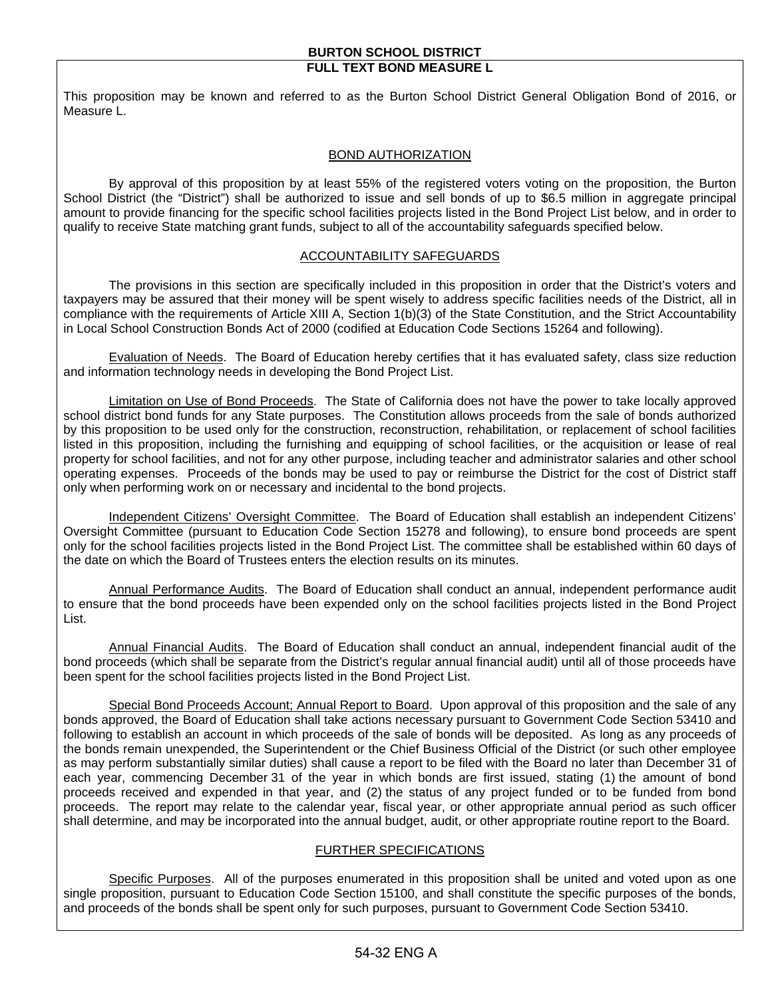This proposition may be known and referred to as the Burton School District General Obligation Bond of 2016, or Measure L.

#### BOND AUTHORIZATION

By approval of this proposition by at least 55% of the registered voters voting on the proposition, the Burton School District (the "District") shall be authorized to issue and sell bonds of up to \$6.5 million in aggregate principal amount to provide financing for the specific school facilities projects listed in the Bond Project List below, and in order to qualify to receive State matching grant funds, subject to all of the accountability safeguards specified below.

#### ACCOUNTABILITY SAFEGUARDS

The provisions in this section are specifically included in this proposition in order that the District's voters and taxpayers may be assured that their money will be spent wisely to address specific facilities needs of the District, all in compliance with the requirements of Article XIII A, Section 1(b)(3) of the State Constitution, and the Strict Accountability in Local School Construction Bonds Act of 2000 (codified at Education Code Sections 15264 and following).

Evaluation of Needs. The Board of Education hereby certifies that it has evaluated safety, class size reduction and information technology needs in developing the Bond Project List.

Limitation on Use of Bond Proceeds. The State of California does not have the power to take locally approved school district bond funds for any State purposes. The Constitution allows proceeds from the sale of bonds authorized by this proposition to be used only for the construction, reconstruction, rehabilitation, or replacement of school facilities listed in this proposition, including the furnishing and equipping of school facilities, or the acquisition or lease of real property for school facilities, and not for any other purpose, including teacher and administrator salaries and other school operating expenses. Proceeds of the bonds may be used to pay or reimburse the District for the cost of District staff only when performing work on or necessary and incidental to the bond projects.

Independent Citizens' Oversight Committee. The Board of Education shall establish an independent Citizens' Oversight Committee (pursuant to Education Code Section 15278 and following), to ensure bond proceeds are spent only for the school facilities projects listed in the Bond Project List. The committee shall be established within 60 days of the date on which the Board of Trustees enters the election results on its minutes.

Annual Performance Audits. The Board of Education shall conduct an annual, independent performance audit to ensure that the bond proceeds have been expended only on the school facilities projects listed in the Bond Project List.

Annual Financial Audits. The Board of Education shall conduct an annual, independent financial audit of the bond proceeds (which shall be separate from the District's regular annual financial audit) until all of those proceeds have been spent for the school facilities projects listed in the Bond Project List.

Special Bond Proceeds Account; Annual Report to Board. Upon approval of this proposition and the sale of any bonds approved, the Board of Education shall take actions necessary pursuant to Government Code Section 53410 and following to establish an account in which proceeds of the sale of bonds will be deposited. As long as any proceeds of the bonds remain unexpended, the Superintendent or the Chief Business Official of the District (or such other employee as may perform substantially similar duties) shall cause a report to be filed with the Board no later than December 31 of each year, commencing December 31 of the year in which bonds are first issued, stating (1) the amount of bond proceeds received and expended in that year, and (2) the status of any project funded or to be funded from bond proceeds. The report may relate to the calendar year, fiscal year, or other appropriate annual period as such officer shall determine, and may be incorporated into the annual budget, audit, or other appropriate routine report to the Board.

### FURTHER SPECIFICATIONS

Specific Purposes. All of the purposes enumerated in this proposition shall be united and voted upon as one single proposition, pursuant to Education Code Section 15100, and shall constitute the specific purposes of the bonds, and proceeds of the bonds shall be spent only for such purposes, pursuant to Government Code Section 53410.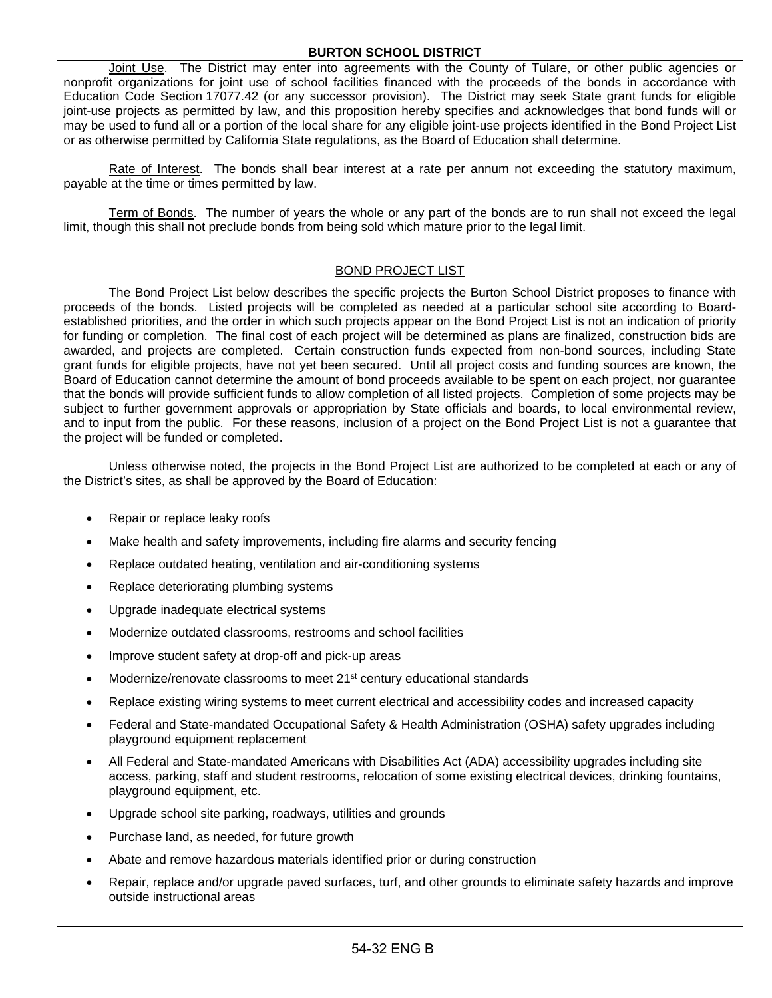#### **BURTON SCHOOL DISTRICT**

Joint Use. The District may enter into agreements with the County of Tulare, or other public agencies or nonprofit organizations for joint use of school facilities financed with the proceeds of the bonds in accordance with Education Code Section 17077.42 (or any successor provision). The District may seek State grant funds for eligible joint-use projects as permitted by law, and this proposition hereby specifies and acknowledges that bond funds will or may be used to fund all or a portion of the local share for any eligible joint-use projects identified in the Bond Project List or as otherwise permitted by California State regulations, as the Board of Education shall determine.

Rate of Interest. The bonds shall bear interest at a rate per annum not exceeding the statutory maximum, payable at the time or times permitted by law.

Term of Bonds. The number of years the whole or any part of the bonds are to run shall not exceed the legal limit, though this shall not preclude bonds from being sold which mature prior to the legal limit.

### BOND PROJECT LIST

The Bond Project List below describes the specific projects the Burton School District proposes to finance with proceeds of the bonds. Listed projects will be completed as needed at a particular school site according to Boardestablished priorities, and the order in which such projects appear on the Bond Project List is not an indication of priority for funding or completion. The final cost of each project will be determined as plans are finalized, construction bids are awarded, and projects are completed. Certain construction funds expected from non-bond sources, including State grant funds for eligible projects, have not yet been secured. Until all project costs and funding sources are known, the Board of Education cannot determine the amount of bond proceeds available to be spent on each project, nor guarantee that the bonds will provide sufficient funds to allow completion of all listed projects. Completion of some projects may be subject to further government approvals or appropriation by State officials and boards, to local environmental review, and to input from the public. For these reasons, inclusion of a project on the Bond Project List is not a guarantee that the project will be funded or completed.

Unless otherwise noted, the projects in the Bond Project List are authorized to be completed at each or any of the District's sites, as shall be approved by the Board of Education:

- Repair or replace leaky roofs
- Make health and safety improvements, including fire alarms and security fencing
- Replace outdated heating, ventilation and air-conditioning systems
- Replace deteriorating plumbing systems
- Upgrade inadequate electrical systems
- Modernize outdated classrooms, restrooms and school facilities
- Improve student safety at drop-off and pick-up areas
- Modernize/renovate classrooms to meet 21<sup>st</sup> century educational standards
- Replace existing wiring systems to meet current electrical and accessibility codes and increased capacity
- Federal and State-mandated Occupational Safety & Health Administration (OSHA) safety upgrades including playground equipment replacement
- All Federal and State-mandated Americans with Disabilities Act (ADA) accessibility upgrades including site access, parking, staff and student restrooms, relocation of some existing electrical devices, drinking fountains, playground equipment, etc.
- Upgrade school site parking, roadways, utilities and grounds
- Purchase land, as needed, for future growth
- Abate and remove hazardous materials identified prior or during construction
- Repair, replace and/or upgrade paved surfaces, turf, and other grounds to eliminate safety hazards and improve outside instructional areas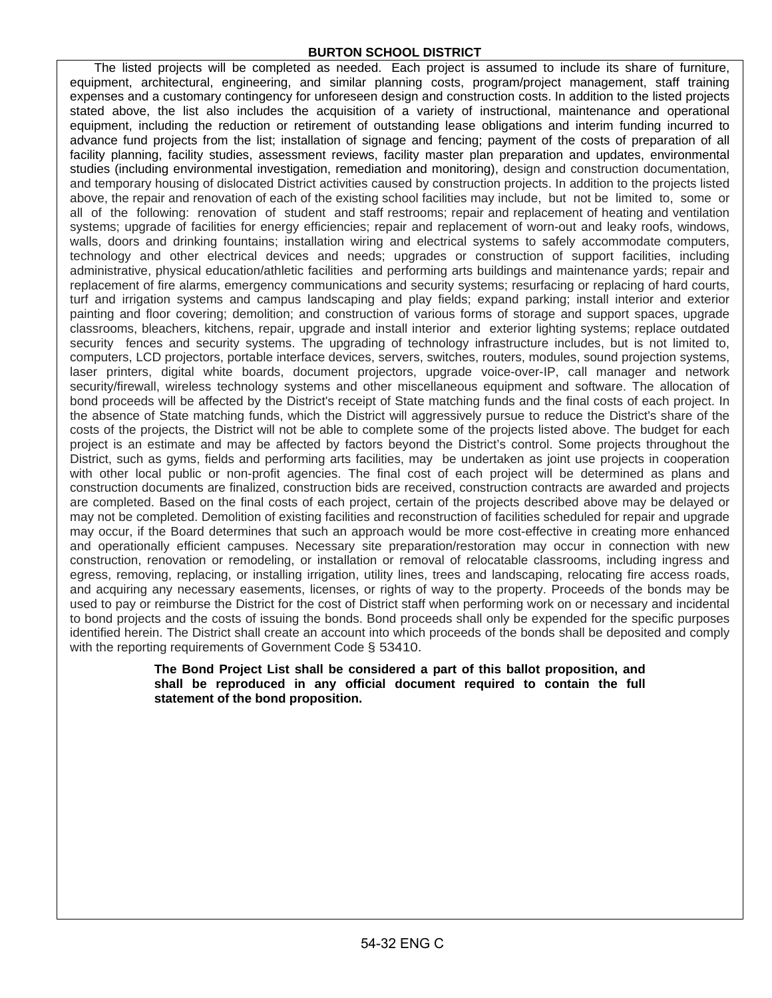#### **BURTON SCHOOL DISTRICT**

The listed projects will be completed as needed. Each project is assumed to include its share of furniture, equipment, architectural, engineering, and similar planning costs, program/project management, staff training expenses and a customary contingency for unforeseen design and construction costs. In addition to the listed projects stated above, the list also includes the acquisition of a variety of instructional, maintenance and operational equipment, including the reduction or retirement of outstanding lease obligations and interim funding incurred to advance fund projects from the list; installation of signage and fencing; payment of the costs of preparation of all facility planning, facility studies, assessment reviews, facility master plan preparation and updates, environmental studies (including environmental investigation, remediation and monitoring), design and construction documentation, and temporary housing of dislocated District activities caused by construction projects. In addition to the projects listed above, the repair and renovation of each of the existing school facilities may include, but not be limited to, some or all of the following: renovation of student and staff restrooms; repair and replacement of heating and ventilation systems; upgrade of facilities for energy efficiencies; repair and replacement of worn-out and leaky roofs, windows, walls, doors and drinking fountains; installation wiring and electrical systems to safely accommodate computers, technology and other electrical devices and needs; upgrades or construction of support facilities, including administrative, physical education/athletic facilities and performing arts buildings and maintenance yards; repair and replacement of fire alarms, emergency communications and security systems; resurfacing or replacing of hard courts, turf and irrigation systems and campus landscaping and play fields; expand parking; install interior and exterior painting and floor covering; demolition; and construction of various forms of storage and support spaces, upgrade classrooms, bleachers, kitchens, repair, upgrade and install interior and exterior lighting systems; replace outdated security fences and security systems. The upgrading of technology infrastructure includes, but is not limited to, computers, LCD projectors, portable interface devices, servers, switches, routers, modules, sound projection systems, laser printers, digital white boards, document projectors, upgrade voice-over-IP, call manager and network security/firewall, wireless technology systems and other miscellaneous equipment and software. The allocation of bond proceeds will be affected by the District's receipt of State matching funds and the final costs of each project. In the absence of State matching funds, which the District will aggressively pursue to reduce the District's share of the costs of the projects, the District will not be able to complete some of the projects listed above. The budget for each project is an estimate and may be affected by factors beyond the District's control. Some projects throughout the District, such as gyms, fields and performing arts facilities, may be undertaken as joint use projects in cooperation with other local public or non-profit agencies. The final cost of each project will be determined as plans and construction documents are finalized, construction bids are received, construction contracts are awarded and projects are completed. Based on the final costs of each project, certain of the projects described above may be delayed or may not be completed. Demolition of existing facilities and reconstruction of facilities scheduled for repair and upgrade may occur, if the Board determines that such an approach would be more cost-effective in creating more enhanced and operationally efficient campuses. Necessary site preparation/restoration may occur in connection with new construction, renovation or remodeling, or installation or removal of relocatable classrooms, including ingress and egress, removing, replacing, or installing irrigation, utility lines, trees and landscaping, relocating fire access roads, and acquiring any necessary easements, licenses, or rights of way to the property. Proceeds of the bonds may be used to pay or reimburse the District for the cost of District staff when performing work on or necessary and incidental to bond projects and the costs of issuing the bonds. Bond proceeds shall only be expended for the specific purposes identified herein. The District shall create an account into which proceeds of the bonds shall be deposited and comply with the reporting requirements of Government Code § 53410.

#### **The Bond Project List shall be considered a part of this ballot proposition, and shall be reproduced in any official document required to contain the full statement of the bond proposition.**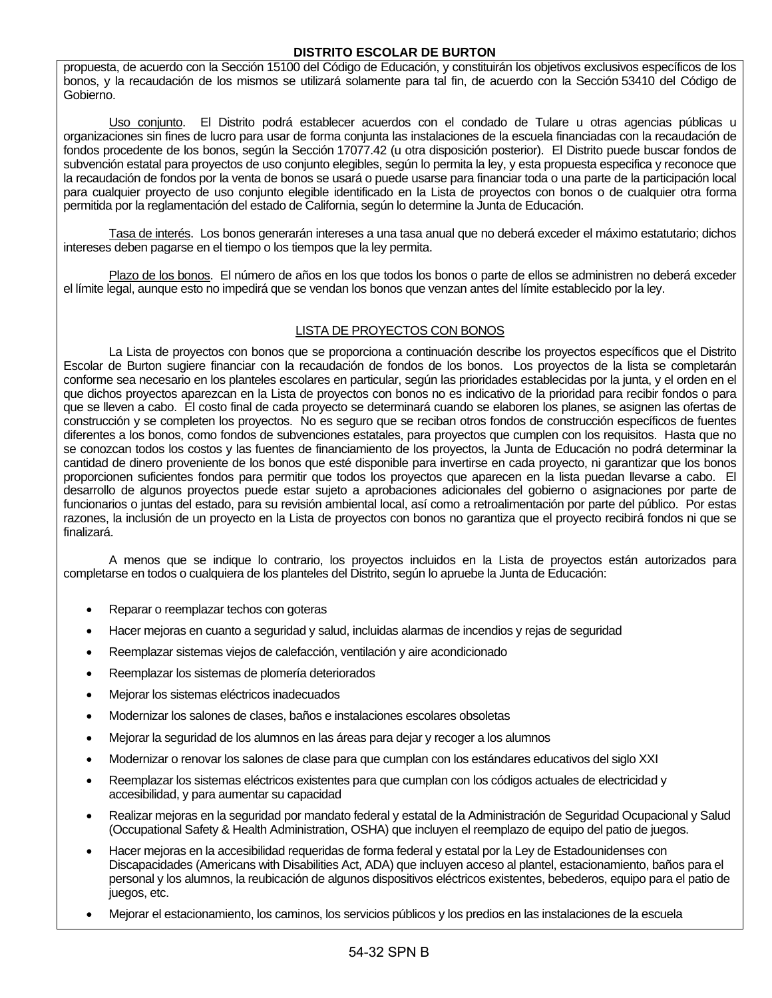#### **DISTRITO ESCOLAR DE BURTON**

propuesta, de acuerdo con la Sección 15100 del Código de Educación, y constituirán los objetivos exclusivos específicos de los bonos, y la recaudación de los mismos se utilizará solamente para tal fin, de acuerdo con la Sección 53410 del Código de Gobierno.

Uso conjunto. El Distrito podrá establecer acuerdos con el condado de Tulare u otras agencias públicas u organizaciones sin fines de lucro para usar de forma conjunta las instalaciones de la escuela financiadas con la recaudación de fondos procedente de los bonos, según la Sección 17077.42 (u otra disposición posterior). El Distrito puede buscar fondos de subvención estatal para proyectos de uso conjunto elegibles, según lo permita la ley, y esta propuesta especifica y reconoce que la recaudación de fondos por la venta de bonos se usará o puede usarse para financiar toda o una parte de la participación local para cualquier proyecto de uso conjunto elegible identificado en la Lista de proyectos con bonos o de cualquier otra forma permitida por la reglamentación del estado de California, según lo determine la Junta de Educación.

Tasa de interés. Los bonos generarán intereses a una tasa anual que no deberá exceder el máximo estatutario; dichos intereses deben pagarse en el tiempo o los tiempos que la ley permita.

Plazo de los bonos. El número de años en los que todos los bonos o parte de ellos se administren no deberá exceder el límite legal, aunque esto no impedirá que se vendan los bonos que venzan antes del límite establecido por la ley.

# LISTA DE PROYECTOS CON BONOS

La Lista de proyectos con bonos que se proporciona a continuación describe los proyectos específicos que el Distrito Escolar de Burton sugiere financiar con la recaudación de fondos de los bonos. Los proyectos de la lista se completarán conforme sea necesario en los planteles escolares en particular, según las prioridades establecidas por la junta, y el orden en el que dichos proyectos aparezcan en la Lista de proyectos con bonos no es indicativo de la prioridad para recibir fondos o para que se lleven a cabo. El costo final de cada proyecto se determinará cuando se elaboren los planes, se asignen las ofertas de construcción y se completen los proyectos. No es seguro que se reciban otros fondos de construcción específicos de fuentes diferentes a los bonos, como fondos de subvenciones estatales, para proyectos que cumplen con los requisitos. Hasta que no se conozcan todos los costos y las fuentes de financiamiento de los proyectos, la Junta de Educación no podrá determinar la cantidad de dinero proveniente de los bonos que esté disponible para invertirse en cada proyecto, ni garantizar que los bonos proporcionen suficientes fondos para permitir que todos los proyectos que aparecen en la lista puedan llevarse a cabo. El desarrollo de algunos proyectos puede estar sujeto a aprobaciones adicionales del gobierno o asignaciones por parte de funcionarios o juntas del estado, para su revisión ambiental local, así como a retroalimentación por parte del público. Por estas razones, la inclusión de un proyecto en la Lista de proyectos con bonos no garantiza que el proyecto recibirá fondos ni que se finalizará.

A menos que se indique lo contrario, los proyectos incluidos en la Lista de proyectos están autorizados para completarse en todos o cualquiera de los planteles del Distrito, según lo apruebe la Junta de Educación:

- Reparar o reemplazar techos con goteras
- Hacer mejoras en cuanto a seguridad y salud, incluidas alarmas de incendios y rejas de seguridad
- Reemplazar sistemas viejos de calefacción, ventilación y aire acondicionado
- Reemplazar los sistemas de plomería deteriorados
- Mejorar los sistemas eléctricos inadecuados
- Modernizar los salones de clases, baños e instalaciones escolares obsoletas
- Mejorar la seguridad de los alumnos en las áreas para dejar y recoger a los alumnos
- Modernizar o renovar los salones de clase para que cumplan con los estándares educativos del siglo XXI
- Reemplazar los sistemas eléctricos existentes para que cumplan con los códigos actuales de electricidad y accesibilidad, y para aumentar su capacidad
- Realizar mejoras en la seguridad por mandato federal y estatal de la Administración de Seguridad Ocupacional y Salud (Occupational Safety & Health Administration, OSHA) que incluyen el reemplazo de equipo del patio de juegos.
- Hacer mejoras en la accesibilidad requeridas de forma federal y estatal por la Ley de Estadounidenses con Discapacidades (Americans with Disabilities Act, ADA) que incluyen acceso al plantel, estacionamiento, baños para el personal y los alumnos, la reubicación de algunos dispositivos eléctricos existentes, bebederos, equipo para el patio de juegos, etc.
- Mejorar el estacionamiento, los caminos, los servicios públicos y los predios en las instalaciones de la escuela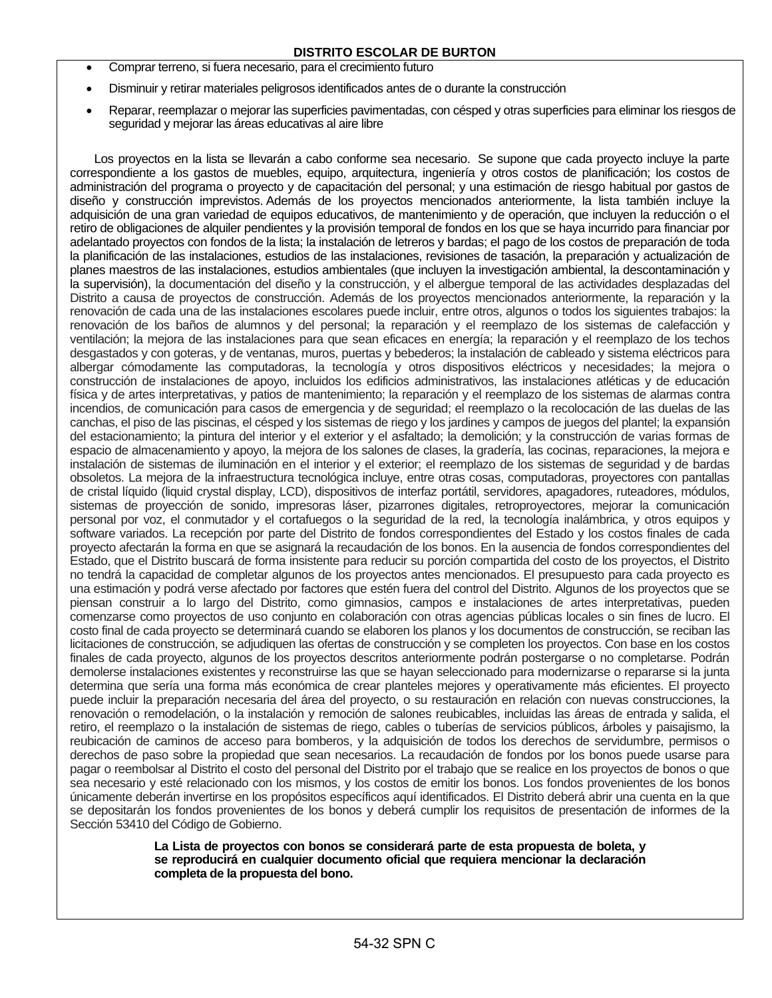- Comprar terreno, si fuera necesario, para el crecimiento futuro
- Disminuir y retirar materiales peligrosos identificados antes de o durante la construcción
- Reparar, reemplazar o mejorar las superficies pavimentadas, con césped y otras superficies para eliminar los riesgos de seguridad y mejorar las áreas educativas al aire libre

Los proyectos en la lista se llevarán a cabo conforme sea necesario. Se supone que cada proyecto incluye la parte correspondiente a los gastos de muebles, equipo, arquitectura, ingeniería y otros costos de planificación; los costos de administración del programa o proyecto y de capacitación del personal; y una estimación de riesgo habitual por gastos de diseño y construcción imprevistos. Además de los proyectos mencionados anteriormente, la lista también incluye la adquisición de una gran variedad de equipos educativos, de mantenimiento y de operación, que incluyen la reducción o el retiro de obligaciones de alquiler pendientes y la provisión temporal de fondos en los que se haya incurrido para financiar por adelantado proyectos con fondos de la lista; la instalación de letreros y bardas; el pago de los costos de preparación de toda la planificación de las instalaciones, estudios de las instalaciones, revisiones de tasación, la preparación y actualización de planes maestros de las instalaciones, estudios ambientales (que incluyen la investigación ambiental, la descontaminación y la supervisión), la documentación del diseño y la construcción, y el albergue temporal de las actividades desplazadas del Distrito a causa de proyectos de construcción. Además de los proyectos mencionados anteriormente, la reparación y la renovación de cada una de las instalaciones escolares puede incluir, entre otros, algunos o todos los siguientes trabajos: la renovación de los baños de alumnos y del personal; la reparación y el reemplazo de los sistemas de calefacción y ventilación; la mejora de las instalaciones para que sean eficaces en energía; la reparación y el reemplazo de los techos desgastados y con goteras, y de ventanas, muros, puertas y bebederos; la instalación de cableado y sistema eléctricos para albergar cómodamente las computadoras, la tecnología y otros dispositivos eléctricos y necesidades; la mejora o construcción de instalaciones de apoyo, incluidos los edificios administrativos, las instalaciones atléticas y de educación física y de artes interpretativas, y patios de mantenimiento; la reparación y el reemplazo de los sistemas de alarmas contra incendios, de comunicación para casos de emergencia y de seguridad; el reemplazo o la recolocación de las duelas de las canchas, el piso de las piscinas, el césped y los sistemas de riego y los jardines y campos de juegos del plantel; la expansión del estacionamiento; la pintura del interior y el exterior y el asfaltado; la demolición; y la construcción de varias formas de espacio de almacenamiento y apoyo, la mejora de los salones de clases, la gradería, las cocinas, reparaciones, la mejora e instalación de sistemas de iluminación en el interior y el exterior; el reemplazo de los sistemas de seguridad y de bardas obsoletos. La mejora de la infraestructura tecnológica incluye, entre otras cosas, computadoras, proyectores con pantallas de cristal líquido (liquid crystal display, LCD), dispositivos de interfaz portátil, servidores, apagadores, ruteadores, módulos, sistemas de proyección de sonido, impresoras láser, pizarrones digitales, retroproyectores, mejorar la comunicación personal por voz, el conmutador y el cortafuegos o la seguridad de la red, la tecnología inalámbrica, y otros equipos y software variados. La recepción por parte del Distrito de fondos correspondientes del Estado y los costos finales de cada proyecto afectarán la forma en que se asignará la recaudación de los bonos. En la ausencia de fondos correspondientes del Estado, que el Distrito buscará de forma insistente para reducir su porción compartida del costo de los proyectos, el Distrito no tendrá la capacidad de completar algunos de los proyectos antes mencionados. El presupuesto para cada proyecto es una estimación y podrá verse afectado por factores que estén fuera del control del Distrito. Algunos de los proyectos que se piensan construir a lo largo del Distrito, como gimnasios, campos e instalaciones de artes interpretativas, pueden comenzarse como proyectos de uso conjunto en colaboración con otras agencias públicas locales o sin fines de lucro. El costo final de cada proyecto se determinará cuando se elaboren los planos y los documentos de construcción, se reciban las licitaciones de construcción, se adjudiquen las ofertas de construcción y se completen los proyectos. Con base en los costos finales de cada proyecto, algunos de los proyectos descritos anteriormente podrán postergarse o no completarse. Podrán demolerse instalaciones existentes y reconstruirse las que se hayan seleccionado para modernizarse o repararse si la junta determina que sería una forma más económica de crear planteles mejores y operativamente más eficientes. El proyecto puede incluir la preparación necesaria del área del proyecto, o su restauración en relación con nuevas construcciones, la renovación o remodelación, o la instalación y remoción de salones reubicables, incluidas las áreas de entrada y salida, el retiro, el reemplazo o la instalación de sistemas de riego, cables o tuberías de servicios públicos, árboles y paisajismo, la reubicación de caminos de acceso para bomberos, y la adquisición de todos los derechos de servidumbre, permisos o derechos de paso sobre la propiedad que sean necesarios. La recaudación de fondos por los bonos puede usarse para pagar o reembolsar al Distrito el costo del personal del Distrito por el trabajo que se realice en los proyectos de bonos o que sea necesario y esté relacionado con los mismos, y los costos de emitir los bonos. Los fondos provenientes de los bonos únicamente deberán invertirse en los propósitos específicos aquí identificados. El Distrito deberá abrir una cuenta en la que se depositarán los fondos provenientes de los bonos y deberá cumplir los requisitos de presentación de informes de la Sección 53410 del Código de Gobierno.

> **La Lista de proyectos con bonos se considerará parte de esta propuesta de boleta, y se reproducirá en cualquier documento oficial que requiera mencionar la declaración completa de la propuesta del bono.**